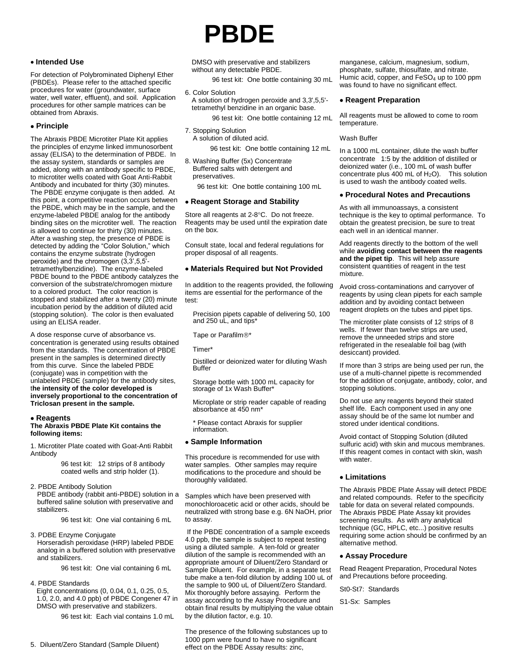## **Intended Use**

For detection of Polybrominated Diphenyl Ether (PBDEs). Please refer to the attached specific procedures for water (groundwater, surface water, well water, effluent), and soil. Application procedures for other sample matrices can be obtained from Abraxis.

# **Principle**

The Abraxis PBDE Microtiter Plate Kit applies the principles of enzyme linked immunosorbent assay (ELISA) to the determination of PBDE. In the assay system, standards or samples are added, along with an antibody specific to PBDE, to microtiter wells coated with Goat Anti-Rabbit Antibody and incubated for thirty (30) minutes. The PBDE enzyme conjugate is then added. At this point, a competitive reaction occurs between the PBDE, which may be in the sample, and the enzyme-labeled PBDE analog for the antibody binding sites on the microtiter well. The reaction is allowed to continue for thirty (30) minutes. After a washing step, the presence of PBDE is detected by adding the "Color Solution," which contains the enzyme substrate (hydrogen peroxide) and the chromogen (3,3',5,5' tetramethylbenzidine). The enzyme-labeled PBDE bound to the PBDE antibody catalyzes the conversion of the substrate/chromogen mixture to a colored product. The color reaction is stopped and stabilized after a twenty (20) minute incubation period by the addition of diluted acid (stopping solution). The color is then evaluated using an ELISA reader.

A dose response curve of absorbance vs. concentration is generated using results obtained from the standards. The concentration of PBDE present in the samples is determined directly from this curve. Since the labeled PBDE (conjugate) was in competition with the unlabeled PBDE (sample) for the antibody sites, t**he intensity of the color developed is inversely proportional to the concentration of Triclosan present in the sample.**

## **Reagents**

**The Abraxis PBDE Plate Kit contains the following items:**

#### *1. Microtiter Plate coated with Goat-Anti Rabbit Antibody*

96 test kit: 12 strips of 8 antibody coated wells and strip holder (1).

## *2. PBDE Antibody Solution*

PBDE antibody (rabbit anti-PBDE) solution in a buffered saline solution with preservative and stabilizers.

96 test kit: One vial containing 6 mL

#### *3. PDBE Enzyme Conjugate*

Horseradish peroxidase (HRP) labeled PBDE analog in a buffered solution with preservative and stabilizers.

96 test kit: One vial containing 6 mL

#### *4. PBDE Standards*

Eight concentrations (0, 0.04, 0.1, 0.25, 0.5, 1.0, 2.0, and 4.0 ppb) of PBDE Congener 47 in DMSO with preservative and stabilizers.

96 test kit: Each vial contains 1.0 mL

# **PBDE**

DMSO with preservative and stabilizers without any detectable PBDE.

 96 test kit: One bottle containing 30 mL *6. Color Solution*

A solution of hydrogen peroxide and 3,3',5,5' tetramethyl benzidine in an organic base.

96 test kit: One bottle containing 12 mL

## *7. Stopping Solution*

A solution of diluted acid.

96 test kit: One bottle containing 12 mL

*8. Washing Buffer (5x) Concentrate* Buffered salts with detergent and preservatives.

96 test kit: One bottle containing 100 mL

## **Reagent Storage and Stability**

Store all reagents at 2-8°C. Do not freeze. Reagents may be used until the expiration date on the box.

Consult state, local and federal regulations for proper disposal of all reagents.

## **Materials Required but Not Provided**

In addition to the reagents provided, the following items are essential for the performance of the test:

Precision pipets capable of delivering 50, 100 and 250 uL, and tips\*

Tape or Parafilm®\*

Timer\*

Distilled or deionized water for diluting Wash Buffer

Storage bottle with 1000 mL capacity for storage of 1x Wash Buffer\*

Microplate or strip reader capable of reading absorbance at 450 nm\*

\* Please contact Abraxis for supplier information.

## **Sample Information**

This procedure is recommended for use with water samples. Other samples may require modifications to the procedure and should be thoroughly validated.

Samples which have been preserved with monochloroacetic acid or other acids, should be neutralized with strong base e.g. 6N NaOH, prior to assay.

If the PBDE concentration of a sample exceeds 4.0 ppb, the sample is subject to repeat testing using a diluted sample. A ten-fold or greater dilution of the sample is recommended with an appropriate amount of Diluent/Zero Standard or Sample Diluent. For example, in a separate test tube make a ten-fold dilution by adding 100 uL of the sample to 900 uL of Diluent/Zero Standard. Mix thoroughly before assaying. Perform the assay according to the Assay Procedure and obtain final results by multiplying the value obtain by the dilution factor, e.g. 10.

The presence of the following substances up to 1000 ppm were found to have no significant effect on the PBDE Assay results: zinc,

manganese, calcium, magnesium, sodium, phosphate, sulfate, thiosulfate, and nitrate. Humic acid, copper, and FeSO<sub>4</sub> up to 100 ppm was found to have no significant effect.

#### **Reagent Preparation**

All reagents must be allowed to come to room temperature.

#### Wash Buffer

In a 1000 mL container, dilute the wash buffer concentrate 1:5 by the addition of distilled or deionized water (i.e., 100 mL of wash buffer concentrate plus 400 mL of  $H_2O$ ). This solution is used to wash the antibody coated wells.

## **Procedural Notes and Precautions**

As with all immunoassays, a consistent technique is the key to optimal performance. To obtain the greatest precision, be sure to treat each well in an identical manner.

Add reagents directly to the bottom of the well while **avoiding contact between the reagents and the pipet tip**. This will help assure consistent quantities of reagent in the test mixture.

Avoid cross-contaminations and carryover of reagents by using clean pipets for each sample addition and by avoiding contact between reagent droplets on the tubes and pipet tips.

The microtiter plate consists of 12 strips of 8 wells. If fewer than twelve strips are used, remove the unneeded strips and store refrigerated in the resealable foil bag (with desiccant) provided.

If more than 3 strips are being used per run, the use of a multi-channel pipette is recommended for the addition of conjugate, antibody, color, and stopping solutions.

Do not use any reagents beyond their stated shelf life. Each component used in any one assay should be of the same lot number and stored under identical conditions.

Avoid contact of Stopping Solution (diluted sulfuric acid) with skin and mucous membranes. If this reagent comes in contact with skin, wash with water.

## **Limitations**

The Abraxis PBDE Plate Assay will detect PBDE and related compounds. Refer to the specificity table for data on several related compounds. The Abraxis PBDE Plate Assay kit provides screening results. As with any analytical technique (GC, HPLC, etc...) positive results requiring some action should be confirmed by an alternative method.

#### **Assay Procedure**

Read Reagent Preparation, Procedural Notes and Precautions before proceeding.

#### St0-St7: Standards

S1-Sx: Samples